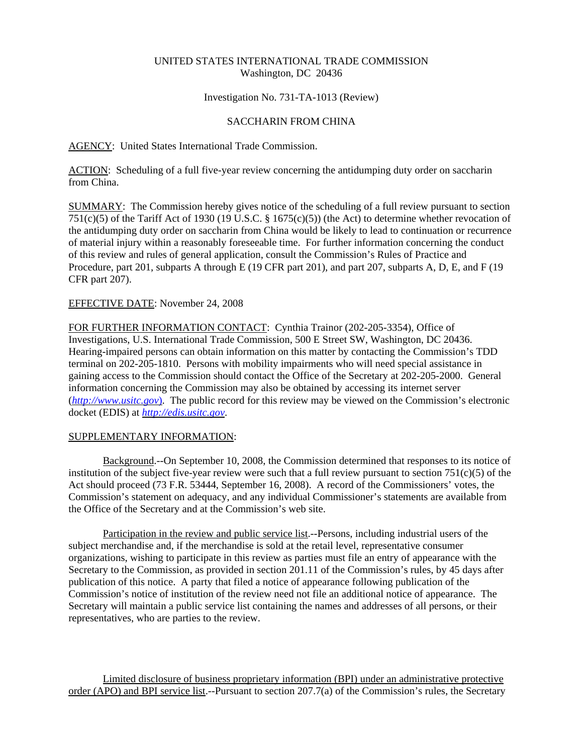# UNITED STATES INTERNATIONAL TRADE COMMISSION Washington, DC 20436

## Investigation No. 731-TA-1013 (Review)

# SACCHARIN FROM CHINA

# AGENCY: United States International Trade Commission.

ACTION: Scheduling of a full five-year review concerning the antidumping duty order on saccharin from China.

SUMMARY: The Commission hereby gives notice of the scheduling of a full review pursuant to section 751(c)(5) of the Tariff Act of 1930 (19 U.S.C. § 1675(c)(5)) (the Act) to determine whether revocation of the antidumping duty order on saccharin from China would be likely to lead to continuation or recurrence of material injury within a reasonably foreseeable time. For further information concerning the conduct of this review and rules of general application, consult the Commission's Rules of Practice and Procedure, part 201, subparts A through E (19 CFR part 201), and part 207, subparts A, D, E, and F (19 CFR part 207).

## EFFECTIVE DATE: November 24, 2008

FOR FURTHER INFORMATION CONTACT: Cynthia Trainor (202-205-3354), Office of Investigations, U.S. International Trade Commission, 500 E Street SW, Washington, DC 20436. Hearing-impaired persons can obtain information on this matter by contacting the Commission's TDD terminal on 202-205-1810. Persons with mobility impairments who will need special assistance in gaining access to the Commission should contact the Office of the Secretary at 202-205-2000. General information concerning the Commission may also be obtained by accessing its internet server (*http://www.usitc.gov*). The public record for this review may be viewed on the Commission's electronic docket (EDIS) at *http://edis.usitc.gov*.

## SUPPLEMENTARY INFORMATION:

Background.--On September 10, 2008, the Commission determined that responses to its notice of institution of the subject five-year review were such that a full review pursuant to section  $751(c)(5)$  of the Act should proceed (73 F.R. 53444, September 16, 2008). A record of the Commissioners' votes, the Commission's statement on adequacy, and any individual Commissioner's statements are available from the Office of the Secretary and at the Commission's web site.

Participation in the review and public service list.--Persons, including industrial users of the subject merchandise and, if the merchandise is sold at the retail level, representative consumer organizations, wishing to participate in this review as parties must file an entry of appearance with the Secretary to the Commission, as provided in section 201.11 of the Commission's rules, by 45 days after publication of this notice. A party that filed a notice of appearance following publication of the Commission's notice of institution of the review need not file an additional notice of appearance. The Secretary will maintain a public service list containing the names and addresses of all persons, or their representatives, who are parties to the review.

Limited disclosure of business proprietary information (BPI) under an administrative protective order (APO) and BPI service list.--Pursuant to section 207.7(a) of the Commission's rules, the Secretary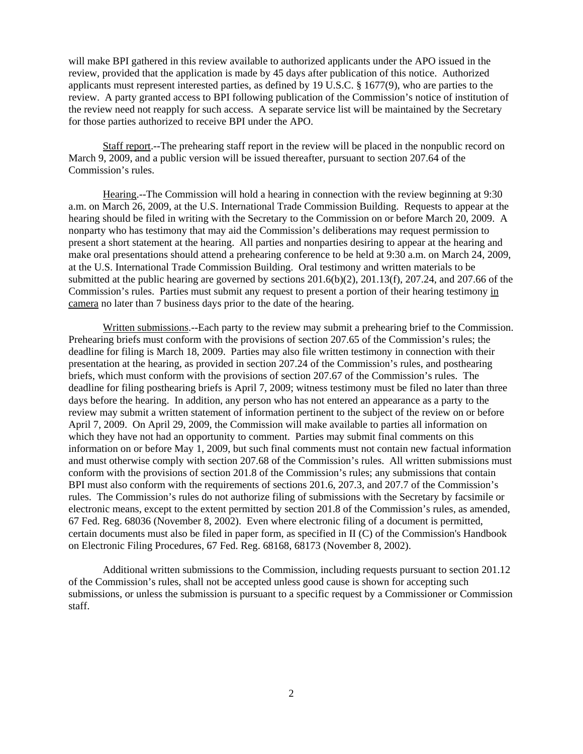will make BPI gathered in this review available to authorized applicants under the APO issued in the review, provided that the application is made by 45 days after publication of this notice. Authorized applicants must represent interested parties, as defined by 19 U.S.C. § 1677(9), who are parties to the review. A party granted access to BPI following publication of the Commission's notice of institution of the review need not reapply for such access. A separate service list will be maintained by the Secretary for those parties authorized to receive BPI under the APO.

Staff report.--The prehearing staff report in the review will be placed in the nonpublic record on March 9, 2009, and a public version will be issued thereafter, pursuant to section 207.64 of the Commission's rules.

Hearing.--The Commission will hold a hearing in connection with the review beginning at 9:30 a.m. on March 26, 2009, at the U.S. International Trade Commission Building. Requests to appear at the hearing should be filed in writing with the Secretary to the Commission on or before March 20, 2009. A nonparty who has testimony that may aid the Commission's deliberations may request permission to present a short statement at the hearing. All parties and nonparties desiring to appear at the hearing and make oral presentations should attend a prehearing conference to be held at 9:30 a.m. on March 24, 2009, at the U.S. International Trade Commission Building. Oral testimony and written materials to be submitted at the public hearing are governed by sections  $201.6(b)(2)$ ,  $201.13(f)$ ,  $207.24$ , and  $207.66$  of the Commission's rules. Parties must submit any request to present a portion of their hearing testimony in camera no later than 7 business days prior to the date of the hearing.

Written submissions.--Each party to the review may submit a prehearing brief to the Commission. Prehearing briefs must conform with the provisions of section 207.65 of the Commission's rules; the deadline for filing is March 18, 2009. Parties may also file written testimony in connection with their presentation at the hearing, as provided in section 207.24 of the Commission's rules, and posthearing briefs, which must conform with the provisions of section 207.67 of the Commission's rules. The deadline for filing posthearing briefs is April 7, 2009; witness testimony must be filed no later than three days before the hearing. In addition, any person who has not entered an appearance as a party to the review may submit a written statement of information pertinent to the subject of the review on or before April 7, 2009. On April 29, 2009, the Commission will make available to parties all information on which they have not had an opportunity to comment. Parties may submit final comments on this information on or before May 1, 2009, but such final comments must not contain new factual information and must otherwise comply with section 207.68 of the Commission's rules. All written submissions must conform with the provisions of section 201.8 of the Commission's rules; any submissions that contain BPI must also conform with the requirements of sections 201.6, 207.3, and 207.7 of the Commission's rules. The Commission's rules do not authorize filing of submissions with the Secretary by facsimile or electronic means, except to the extent permitted by section 201.8 of the Commission's rules, as amended, 67 Fed. Reg. 68036 (November 8, 2002). Even where electronic filing of a document is permitted, certain documents must also be filed in paper form, as specified in II (C) of the Commission's Handbook on Electronic Filing Procedures, 67 Fed. Reg. 68168, 68173 (November 8, 2002).

Additional written submissions to the Commission, including requests pursuant to section 201.12 of the Commission's rules, shall not be accepted unless good cause is shown for accepting such submissions, or unless the submission is pursuant to a specific request by a Commissioner or Commission staff.